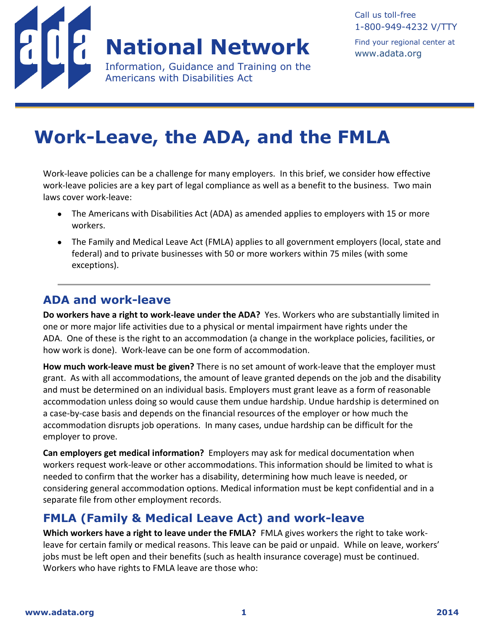

## **National Network**

Information, Guidance and Training on the Americans with Disabilities Act

Find your regional center at [www.adata.org](http://www.adata.org/)

# **Work-Leave, the ADA, and the FMLA**

Work-leave policies can be a challenge for many employers. In this brief, we consider how effective work-leave policies are a key part of legal compliance as well as a benefit to the business. Two main laws cover work-leave:

- The Americans with Disabilities Act (ADA) as amended applies to employers with 15 or more workers.
- The Family and Medical Leave Act (FMLA) applies to all government employers (local, state and federal) and to private businesses with 50 or more workers within 75 miles (with some exceptions).

#### **ADA and work-leave**

**Do workers have a right to work-leave under the ADA?** Yes. Workers who are substantially limited in one or more major life activities due to a physical or mental impairment have rights under the ADA. One of these is the right to an accommodation (a change in the workplace policies, facilities, or how work is done). Work-leave can be one form of accommodation.

**How much work-leave must be given?** There is no set amount of work-leave that the employer must grant. As with all accommodations, the amount of leave granted depends on the job and the disability and must be determined on an individual basis. Employers must grant leave as a form of reasonable accommodation unless doing so would cause them undue hardship. Undue hardship is determined on a case-by-case basis and depends on the financial resources of the employer or how much the accommodation disrupts job operations. In many cases, undue hardship can be difficult for the employer to prove.

**Can employers get medical information?** Employers may ask for medical documentation when workers request work-leave or other accommodations. This information should be limited to what is needed to confirm that the worker has a disability, determining how much leave is needed, or considering general accommodation options. Medical information must be kept confidential and in a separate file from other employment records.

#### **FMLA (Family & Medical Leave Act) and work-leave**

**Which workers have a right to leave under the FMLA?** FMLA gives workers the right to take workleave for certain family or medical reasons. This leave can be paid or unpaid. While on leave, workers' jobs must be left open and their benefits (such as health insurance coverage) must be continued. Workers who have rights to FMLA leave are those who: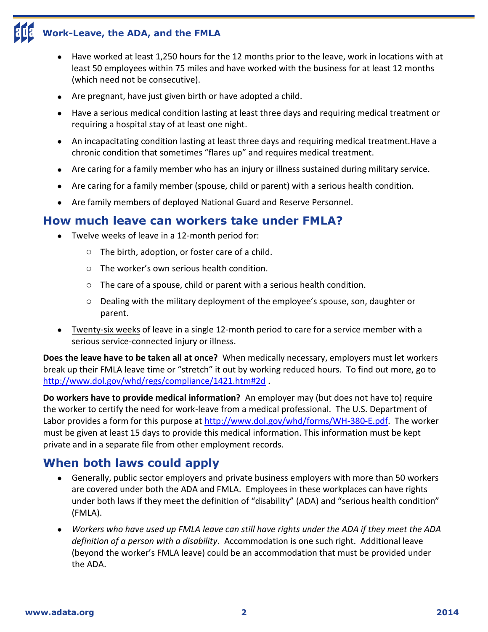### **Work-Leave, the ADA, and the FMLA**

- Have worked at least 1,250 hours for the 12 months prior to the leave, work in locations with at least 50 employees within 75 miles and have worked with the business for at least 12 months (which need not be consecutive).
- Are pregnant, have just given birth or have adopted a child.
- Have a serious medical condition lasting at least three days and requiring medical treatment or requiring a hospital stay of at least one night.
- An incapacitating condition lasting at least three days and requiring medical treatment.Have a chronic condition that sometimes "flares up" and requires medical treatment.
- Are caring for a family member who has an injury or illness sustained during military service.
- Are caring for a family member (spouse, child or parent) with a serious health condition.
- Are family members of deployed National Guard and Reserve Personnel.

#### **How much leave can workers take under FMLA?**

- Twelve weeks of leave in a 12-month period for:
	- o The birth, adoption, or foster care of a child.
	- o The worker's own serious health condition.
	- o The care of a spouse, child or parent with a serious health condition.
	- $\circ$  Dealing with the military deployment of the employee's spouse, son, daughter or parent.
- Twenty-six weeks of leave in a single 12-month period to care for a service member with a serious service-connected injury or illness.

**Does the leave have to be taken all at once?** When medically necessary, employers must let workers break up their FMLA leave time or "stretch" it out by working reduced hours. To find out more, go to <http://www.dol.gov/whd/regs/compliance/1421.htm#2d> .

**Do workers have to provide medical information?** An employer may (but does not have to) require the worker to certify the need for work-leave from a medical professional. The U.S. Department of Labor provides a form for this purpose at [http://www.dol.gov/whd/forms/WH-380-E.pdf.](http://www.dol.gov/whd/forms/WH-380-E.pdf) The worker must be given at least 15 days to provide this medical information. This information must be kept private and in a separate file from other employment records.

#### **When both laws could apply**

- Generally, public sector employers and private business employers with more than 50 workers are covered under both the ADA and FMLA. Employees in these workplaces can have rights under both laws if they meet the definition of "disability" (ADA) and "serious health condition" (FMLA).
- *Workers who have used up FMLA leave can still have rights under the ADA if they meet the ADA definition of a person with a disability*. Accommodation is one such right. Additional leave (beyond the worker's FMLA leave) could be an accommodation that must be provided under the ADA.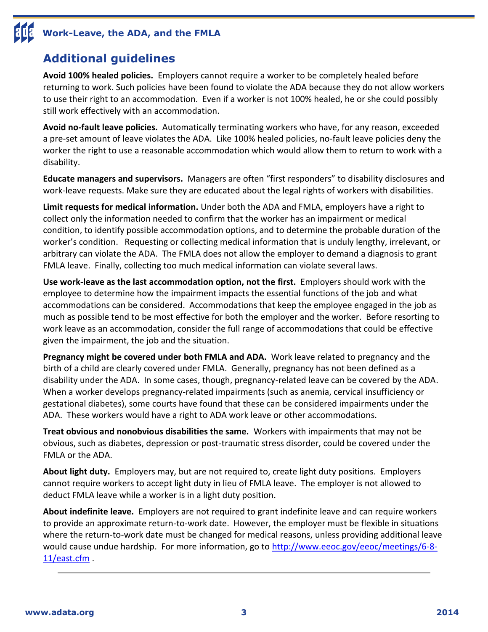# **Work-Leave, the ADA, and the FMLA**

#### **Additional guidelines**

**Avoid 100% healed policies.** Employers cannot require a worker to be completely healed before returning to work. Such policies have been found to violate the ADA because they do not allow workers to use their right to an accommodation. Even if a worker is not 100% healed, he or she could possibly still work effectively with an accommodation.

**Avoid no-fault leave policies.** Automatically terminating workers who have, for any reason, exceeded a pre-set amount of leave violates the ADA. Like 100% healed policies, no-fault leave policies deny the worker the right to use a reasonable accommodation which would allow them to return to work with a disability.

**Educate managers and supervisors.** Managers are often "first responders" to disability disclosures and work-leave requests. Make sure they are educated about the legal rights of workers with disabilities.

**Limit requests for medical information.** Under both the ADA and FMLA, employers have a right to collect only the information needed to confirm that the worker has an impairment or medical condition, to identify possible accommodation options, and to determine the probable duration of the worker's condition. Requesting or collecting medical information that is unduly lengthy, irrelevant, or arbitrary can violate the ADA. The FMLA does not allow the employer to demand a diagnosis to grant FMLA leave. Finally, collecting too much medical information can violate several laws.

**Use work-leave as the last accommodation option, not the first.** Employers should work with the employee to determine how the impairment impacts the essential functions of the job and what accommodations can be considered. Accommodations that keep the employee engaged in the job as much as possible tend to be most effective for both the employer and the worker. Before resorting to work leave as an accommodation, consider the full range of accommodations that could be effective given the impairment, the job and the situation.

**Pregnancy might be covered under both FMLA and ADA.** Work leave related to pregnancy and the birth of a child are clearly covered under FMLA. Generally, pregnancy has not been defined as a disability under the ADA. In some cases, though, pregnancy-related leave can be covered by the ADA. When a worker develops pregnancy-related impairments (such as anemia, cervical insufficiency or gestational diabetes), some courts have found that these can be considered impairments under the ADA. These workers would have a right to ADA work leave or other accommodations.

**Treat obvious and nonobvious disabilities the same.** Workers with impairments that may not be obvious, such as diabetes, depression or post-traumatic stress disorder, could be covered under the FMLA or the ADA.

**About light duty.** Employers may, but are not required to, create light duty positions. Employers cannot require workers to accept light duty in lieu of FMLA leave. The employer is not allowed to deduct FMLA leave while a worker is in a light duty position.

**About indefinite leave.** Employers are not required to grant indefinite leave and can require workers to provide an approximate return-to-work date. However, the employer must be flexible in situations where the return-to-work date must be changed for medical reasons, unless providing additional leave would cause undue hardship. For more information, go to [http://www.eeoc.gov/eeoc/meetings/6-8-](http://www.eeoc.gov/eeoc/meetings/6-8-11/east.cfm) [11/east.cfm](http://www.eeoc.gov/eeoc/meetings/6-8-11/east.cfm) .